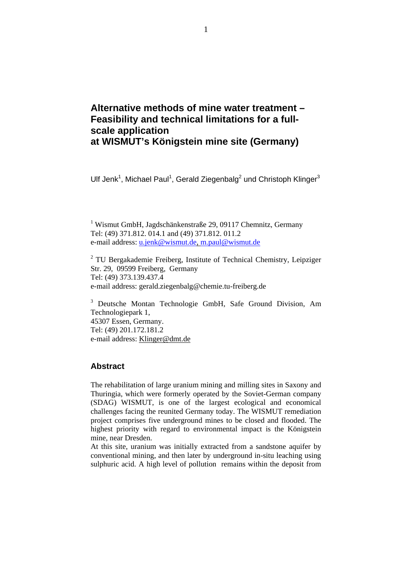# **Alternative methods of mine water treatment – Feasibility and technical limitations for a fullscale application at WISMUT's Königstein mine site (Germany)**

Ulf Jenk<sup>1</sup>, Michael Paul<sup>1</sup>, Gerald Ziegenbalg<sup>2</sup> und Christoph Klinger<sup>3</sup>

<sup>1</sup> Wismut GmbH, Jagdschänkenstraße 29, 09117 Chemnitz, Germany Tel: (49) 371.812. 014.1 and (49) 371.812. 011.2 e-mail address: u.jenk@wismut.de, m.paul@wismut.de

<sup>2</sup> TU Bergakademie Freiberg, Institute of Technical Chemistry, Leipziger Str. 29, 09599 Freiberg, Germany Tel: (49) 373.139.437.4 e-mail address: gerald.ziegenbalg@chemie.tu-freiberg.de

<sup>3</sup> Deutsche Montan Technologie GmbH, Safe Ground Division, Am Technologiepark 1, 45307 Essen, Germany. Tel: (49) 201.172.181.2 e-mail address: Klinger@dmt.de

### **Abstract**

The rehabilitation of large uranium mining and milling sites in Saxony and Thuringia, which were formerly operated by the Soviet-German company (SDAG) WISMUT, is one of the largest ecological and economical challenges facing the reunited Germany today. The WISMUT remediation project comprises five underground mines to be closed and flooded. The highest priority with regard to environmental impact is the Königstein mine, near Dresden.

At this site, uranium was initially extracted from a sandstone aquifer by conventional mining, and then later by underground in-situ leaching using sulphuric acid. A high level of pollution remains within the deposit from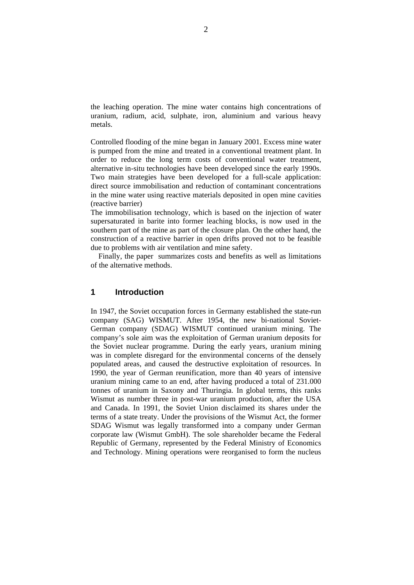the leaching operation. The mine water contains high concentrations of uranium, radium, acid, sulphate, iron, aluminium and various heavy metals.

Controlled flooding of the mine began in January 2001. Excess mine water is pumped from the mine and treated in a conventional treatment plant. In order to reduce the long term costs of conventional water treatment, alternative in-situ technologies have been developed since the early 1990s. Two main strategies have been developed for a full-scale application: direct source immobilisation and reduction of contaminant concentrations in the mine water using reactive materials deposited in open mine cavities (reactive barrier)

The immobilisation technology, which is based on the injection of water supersaturated in barite into former leaching blocks, is now used in the southern part of the mine as part of the closure plan. On the other hand, the construction of a reactive barrier in open drifts proved not to be feasible due to problems with air ventilation and mine safety.

Finally, the paper summarizes costs and benefits as well as limitations of the alternative methods.

## **1 Introduction**

In 1947, the Soviet occupation forces in Germany established the state-run company (SAG) WISMUT. After 1954, the new bi-national Soviet-German company (SDAG) WISMUT continued uranium mining. The company's sole aim was the exploitation of German uranium deposits for the Soviet nuclear programme. During the early years, uranium mining was in complete disregard for the environmental concerns of the densely populated areas, and caused the destructive exploitation of resources. In 1990, the year of German reunification, more than 40 years of intensive uranium mining came to an end, after having produced a total of 231.000 tonnes of uranium in Saxony and Thuringia. In global terms, this ranks Wismut as number three in post-war uranium production, after the USA and Canada. In 1991, the Soviet Union disclaimed its shares under the terms of a state treaty. Under the provisions of the Wismut Act, the former SDAG Wismut was legally transformed into a company under German corporate law (Wismut GmbH). The sole shareholder became the Federal Republic of Germany, represented by the Federal Ministry of Economics and Technology. Mining operations were reorganised to form the nucleus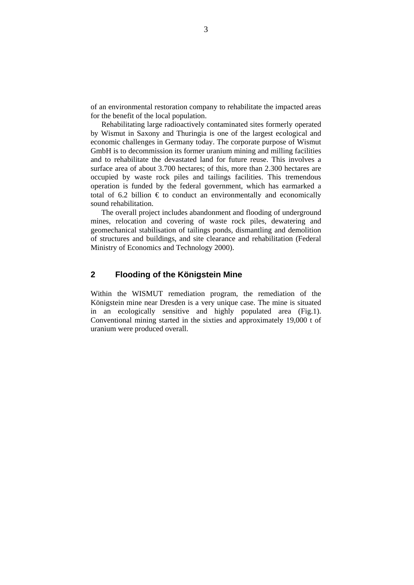of an environmental restoration company to rehabilitate the impacted areas for the benefit of the local population.

Rehabilitating large radioactively contaminated sites formerly operated by Wismut in Saxony and Thuringia is one of the largest ecological and economic challenges in Germany today. The corporate purpose of Wismut GmbH is to decommission its former uranium mining and milling facilities and to rehabilitate the devastated land for future reuse. This involves a surface area of about 3.700 hectares; of this, more than 2.300 hectares are occupied by waste rock piles and tailings facilities. This tremendous operation is funded by the federal government, which has earmarked a total of 6.2 billion  $\epsilon$  to conduct an environmentally and economically sound rehabilitation.

The overall project includes abandonment and flooding of underground mines, relocation and covering of waste rock piles, dewatering and geomechanical stabilisation of tailings ponds, dismantling and demolition of structures and buildings, and site clearance and rehabilitation (Federal Ministry of Economics and Technology 2000).

# **2 Flooding of the Königstein Mine**

Within the WISMUT remediation program, the remediation of the Königstein mine near Dresden is a very unique case. The mine is situated in an ecologically sensitive and highly populated area (Fig.1). Conventional mining started in the sixties and approximately 19,000 t of uranium were produced overall.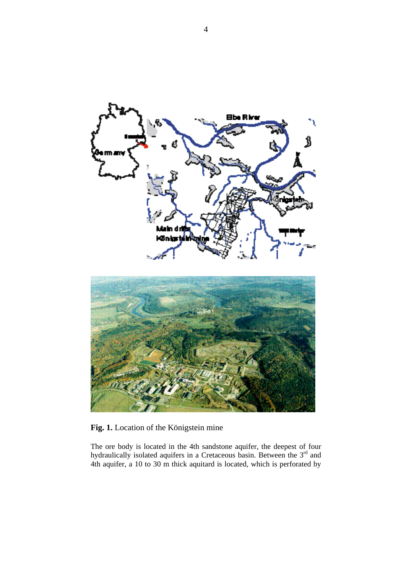

**Fig. 1.** Location of the Königstein mine

The ore body is located in the 4th sandstone aquifer, the deepest of four hydraulically isolated aquifers in a Cretaceous basin. Between the  $3<sup>rd</sup>$  and 4th aquifer, a 10 to 30 m thick aquitard is located, which is perforated by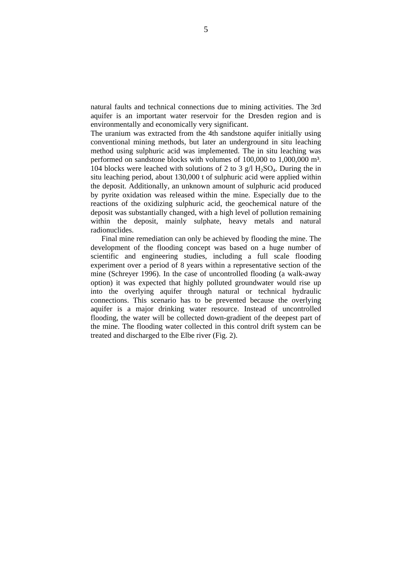natural faults and technical connections due to mining activities. The 3rd aquifer is an important water reservoir for the Dresden region and is environmentally and economically very significant.

The uranium was extracted from the 4th sandstone aquifer initially using conventional mining methods, but later an underground in situ leaching method using sulphuric acid was implemented. The in situ leaching was performed on sandstone blocks with volumes of 100,000 to 1,000,000 m<sup>3</sup>. 104 blocks were leached with solutions of 2 to 3  $g/I$  H<sub>2</sub>SO<sub>4</sub>. During the in situ leaching period, about 130,000 t of sulphuric acid were applied within the deposit. Additionally, an unknown amount of sulphuric acid produced by pyrite oxidation was released within the mine. Especially due to the reactions of the oxidizing sulphuric acid, the geochemical nature of the deposit was substantially changed, with a high level of pollution remaining within the deposit, mainly sulphate, heavy metals and natural radionuclides.

Final mine remediation can only be achieved by flooding the mine. The development of the flooding concept was based on a huge number of scientific and engineering studies, including a full scale flooding experiment over a period of 8 years within a representative section of the mine (Schreyer 1996). In the case of uncontrolled flooding (a walk-away option) it was expected that highly polluted groundwater would rise up into the overlying aquifer through natural or technical hydraulic connections. This scenario has to be prevented because the overlying aquifer is a major drinking water resource. Instead of uncontrolled flooding, the water will be collected down-gradient of the deepest part of the mine. The flooding water collected in this control drift system can be treated and discharged to the Elbe river (Fig. 2).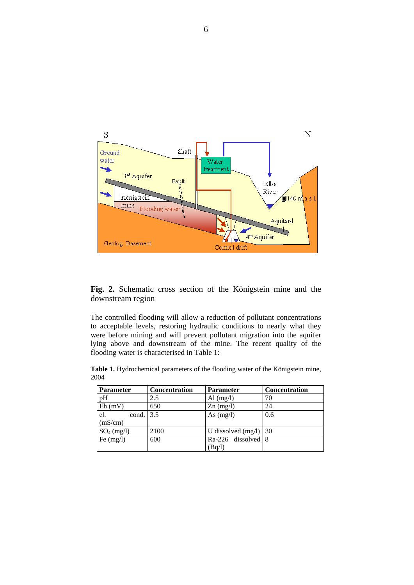

**Fig. 2.** Schematic cross section of the Königstein mine and the downstream region

The controlled flooding will allow a reduction of pollutant concentrations to acceptable levels, restoring hydraulic conditions to nearly what they were before mining and will prevent pollutant migration into the aquifer lying above and downstream of the mine. The recent quality of the flooding water is characterised in Table 1:

**Table 1.** Hydrochemical parameters of the flooding water of the Königstein mine, 2004

| <b>Parameter</b> | <b>Concentration</b> | <b>Parameter</b>     | <b>Concentration</b> |
|------------------|----------------------|----------------------|----------------------|
| pH               | 2.5                  | Al $(mg/l)$          | 70                   |
| Eh(mV)           | 650                  | $Zn$ (mg/l)          | 24                   |
| el.<br>cond.     | 3.5                  | As $(mg/l)$          | 0.6                  |
| (mS/cm)          |                      |                      |                      |
| $SO_4$ (mg/l)    | 2100                 | U dissolved $(mg/l)$ | $\overline{30}$      |
| Fe $(mg/l)$      | 600                  | $Ra-226$ dissolved 8 |                      |
|                  |                      | (Bq/l)               |                      |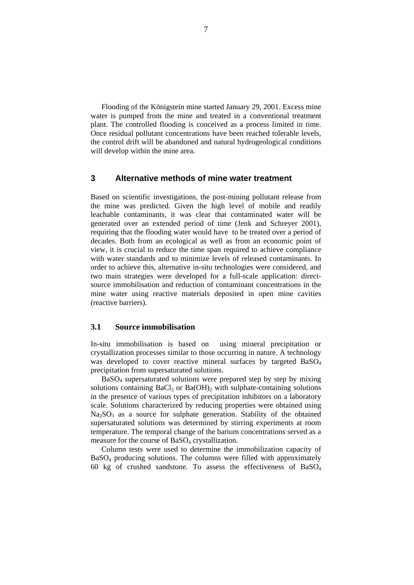Flooding of the Königstein mine started January 29, 2001. Excess mine water is pumped from the mine and treated in a conventional treatment plant. The controlled flooding is conceived as a process limited in time. Once residual pollutant concentrations have been reached tolerable levels, the control drift will be abandoned and natural hydrogeological conditions will develop within the mine area.

#### **3 Alternative methods of mine water treatment**

Based on scientific investigations, the post-mining pollutant release from the mine was predicted. Given the high level of mobile and readily leachable contaminants, it was clear that contaminated water will be generated over an extended period of time (Jenk and Schreyer 2001), requiring that the flooding water would have to be treated over a period of decades. Both from an ecological as well as from an economic point of view, it is crucial to reduce the time span required to achieve compliance with water standards and to minimize levels of released contaminants. In order to achieve this, alternative in-situ technologies were considered, and two main strategies were developed for a full-scale application: directsource immobilisation and reduction of contaminant concentrations in the mine water using reactive materials deposited in open mine cavities (reactive barriers).

# **3.1 Source immobilisation**

In-situ immobilisation is based on using mineral precipitation or crystallization processes similar to those occurring in nature. A technology was developed to cover reactive mineral surfaces by targeted BaSO<sub>4</sub> precipitation from supersaturated solutions.

BaSO4 supersaturated solutions were prepared step by step by mixing solutions containing BaCl<sub>2</sub> or Ba(OH)<sub>2</sub> with sulphate-containing solutions in the presence of various types of precipitation inhibitors on a laboratory scale. Solutions characterized by reducing properties were obtained using  $Na<sub>2</sub>SO<sub>3</sub>$  as a source for sulphate generation. Stability of the obtained supersaturated solutions was determined by stirring experiments at room temperature. The temporal change of the barium concentrations served as a measure for the course of  $BaSO<sub>4</sub>$  crystallization.

Column tests were used to determine the immobilization capacity of  $BaSO<sub>4</sub>$  producing solutions. The columns were filled with approximately 60 kg of crushed sandstone. To assess the effectiveness of BaSO4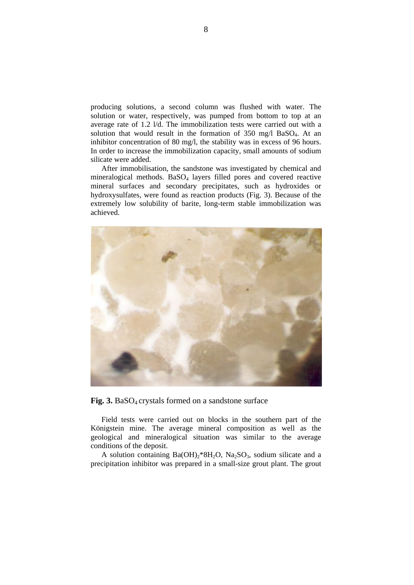producing solutions, a second column was flushed with water. The solution or water, respectively, was pumped from bottom to top at an average rate of 1.2 l/d. The immobilization tests were carried out with a solution that would result in the formation of 350 mg/l BaSO<sub>4</sub>. At an inhibitor concentration of 80 mg/l, the stability was in excess of 96 hours. In order to increase the immobilization capacity, small amounts of sodium silicate were added.

After immobilisation, the sandstone was investigated by chemical and mineralogical methods. BaSO<sub>4</sub> layers filled pores and covered reactive mineral surfaces and secondary precipitates, such as hydroxides or hydroxysulfates, were found as reaction products (Fig. 3). Because of the extremely low solubility of barite, long-term stable immobilization was achieved.



Fig. 3. BaSO<sub>4</sub> crystals formed on a sandstone surface

Field tests were carried out on blocks in the southern part of the Königstein mine. The average mineral composition as well as the geological and mineralogical situation was similar to the average conditions of the deposit.

A solution containing  $Ba(OH)_2*8H_2O$ ,  $Na_2SO_3$ , sodium silicate and a precipitation inhibitor was prepared in a small-size grout plant. The grout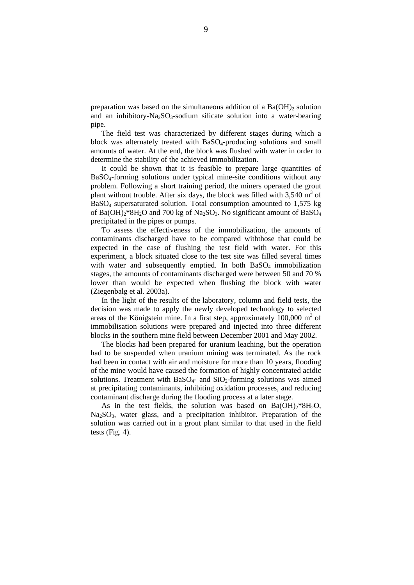preparation was based on the simultaneous addition of a  $Ba(OH)$ <sub>2</sub> solution and an inhibitory-Na<sub>2</sub>SO<sub>3</sub>-sodium silicate solution into a water-bearing pipe.

The field test was characterized by different stages during which a block was alternately treated with  $BaSO<sub>4</sub>-producing$  solutions and small amounts of water. At the end, the block was flushed with water in order to determine the stability of the achieved immobilization.

It could be shown that it is feasible to prepare large quantities of BaSO4-forming solutions under typical mine-site conditions without any problem. Following a short training period, the miners operated the grout plant without trouble. After six days, the block was filled with  $3,540 \text{ m}^3$  of BaSO4 supersaturated solution. Total consumption amounted to 1,575 kg of Ba(OH)<sub>2</sub>\*8H<sub>2</sub>O and 700 kg of Na<sub>2</sub>SO<sub>3</sub>. No significant amount of BaSO<sub>4</sub> precipitated in the pipes or pumps.

To assess the effectiveness of the immobilization, the amounts of contaminants discharged have to be compared withthose that could be expected in the case of flushing the test field with water. For this experiment, a block situated close to the test site was filled several times with water and subsequently emptied. In both BaSO<sub>4</sub> immobilization stages, the amounts of contaminants discharged were between 50 and 70 % lower than would be expected when flushing the block with water (Ziegenbalg et al. 2003a).

In the light of the results of the laboratory, column and field tests, the decision was made to apply the newly developed technology to selected areas of the Königstein mine. In a first step, approximately  $100,000 \text{ m}^3$  of immobilisation solutions were prepared and injected into three different blocks in the southern mine field between December 2001 and May 2002.

The blocks had been prepared for uranium leaching, but the operation had to be suspended when uranium mining was terminated. As the rock had been in contact with air and moisture for more than 10 years, flooding of the mine would have caused the formation of highly concentrated acidic solutions. Treatment with  $BaSO<sub>4</sub>$ - and  $SiO<sub>2</sub>$ -forming solutions was aimed at precipitating contaminants, inhibiting oxidation processes, and reducing contaminant discharge during the flooding process at a later stage.

As in the test fields, the solution was based on  $Ba(OH)_2*8H_2O$ ,  $Na<sub>2</sub>SO<sub>3</sub>$ , water glass, and a precipitation inhibitor. Preparation of the solution was carried out in a grout plant similar to that used in the field tests (Fig. 4).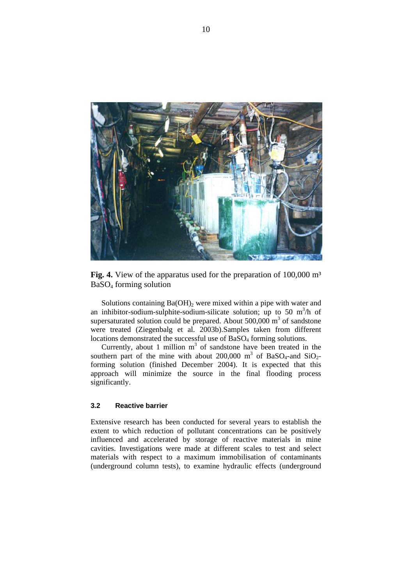

**Fig. 4.** View of the apparatus used for the preparation of 100,000 m<sup>3</sup> BaSO4 forming solution

Solutions containing  $Ba(OH)_2$  were mixed within a pipe with water and an inhibitor-sodium-sulphite-sodium-silicate solution; up to 50 m<sup>3</sup>/h of supersaturated solution could be prepared. About  $500,000$  m<sup>3</sup> of sandstone were treated (Ziegenbalg et al. 2003b).Samples taken from different locations demonstrated the successful use of BaSO<sub>4</sub> forming solutions.

Currently, about 1 million  $m<sup>3</sup>$  of sandstone have been treated in the southern part of the mine with about 200,000 m<sup>3</sup> of BaSO<sub>4</sub>-and SiO<sub>2</sub>forming solution (finished December 2004). It is expected that this approach will minimize the source in the final flooding process significantly.

#### **3.2 Reactive barrier**

Extensive research has been conducted for several years to establish the extent to which reduction of pollutant concentrations can be positively influenced and accelerated by storage of reactive materials in mine cavities. Investigations were made at different scales to test and select materials with respect to a maximum immobilisation of contaminants (underground column tests), to examine hydraulic effects (underground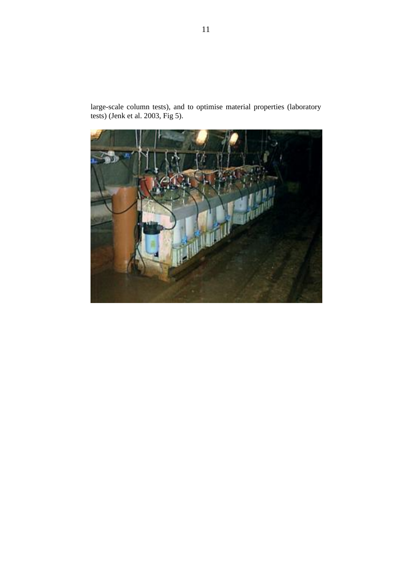large-scale column tests), and to optimise material properties (laboratory tests) (Jenk et al. 2003, Fig 5).

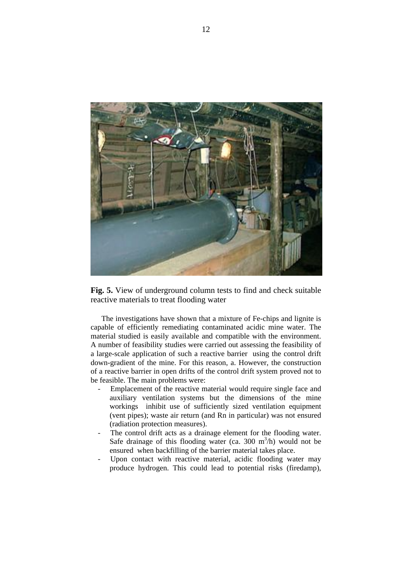

**Fig. 5.** View of underground column tests to find and check suitable reactive materials to treat flooding water

The investigations have shown that a mixture of Fe-chips and lignite is capable of efficiently remediating contaminated acidic mine water. The material studied is easily available and compatible with the environment. A number of feasibility studies were carried out assessing the feasibility of a large-scale application of such a reactive barrier using the control drift down-gradient of the mine. For this reason, a. However, the construction of a reactive barrier in open drifts of the control drift system proved not to be feasible. The main problems were:

- Emplacement of the reactive material would require single face and auxiliary ventilation systems but the dimensions of the mine workings inhibit use of sufficiently sized ventilation equipment (vent pipes); waste air return (and Rn in particular) was not ensured (radiation protection measures).
- The control drift acts as a drainage element for the flooding water. Safe drainage of this flooding water (ca. 300  $m<sup>3</sup>/h$ ) would not be ensured when backfilling of the barrier material takes place.
- Upon contact with reactive material, acidic flooding water may produce hydrogen. This could lead to potential risks (firedamp),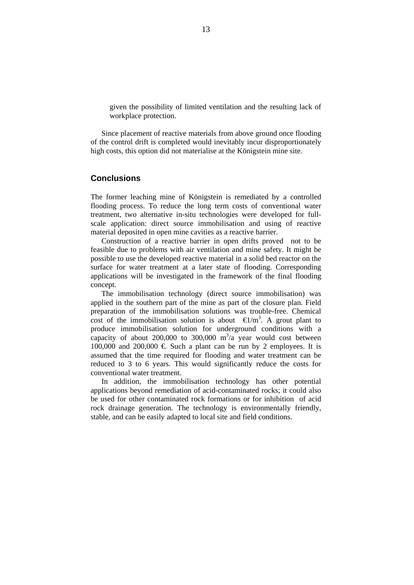given the possibility of limited ventilation and the resulting lack of workplace protection.

Since placement of reactive materials from above ground once flooding of the control drift is completed would inevitably incur disproportionately high costs, this option did not materialise at the Königstein mine site.

#### **Conclusions**

The former leaching mine of Königstein is remediated by a controlled flooding process. To reduce the long term costs of conventional water treatment, two alternative in-situ technologies were developed for fullscale application: direct source immobilisation and using of reactive material deposited in open mine cavities as a reactive barrier.

Construction of a reactive barrier in open drifts proved not to be feasible due to problems with air ventilation and mine safety. It might be possible to use the developed reactive material in a solid bed reactor on the surface for water treatment at a later state of flooding. Corresponding applications will be investigated in the framework of the final flooding concept.

The immobilisation technology (direct source immobilisation) was applied in the southern part of the mine as part of the closure plan. Field preparation of the immobilisation solutions was trouble-free. Chemical cost of the immobilisation solution is about  $\Theta/m^3$ . A grout plant to produce immobilisation solution for underground conditions with a capacity of about 200,000 to 300,000  $m^3/a$  year would cost between 100,000 and 200,000  $\in$  Such a plant can be run by 2 employees. It is assumed that the time required for flooding and water treatment can be reduced to 3 to 6 years. This would significantly reduce the costs for conventional water treatment.

In addition, the immobilisation technology has other potential applications beyond remediation of acid-contaminated rocks; it could also be used for other contaminated rock formations or for inhibition of acid rock drainage generation. The technology is environmentally friendly, stable, and can be easily adapted to local site and field conditions.